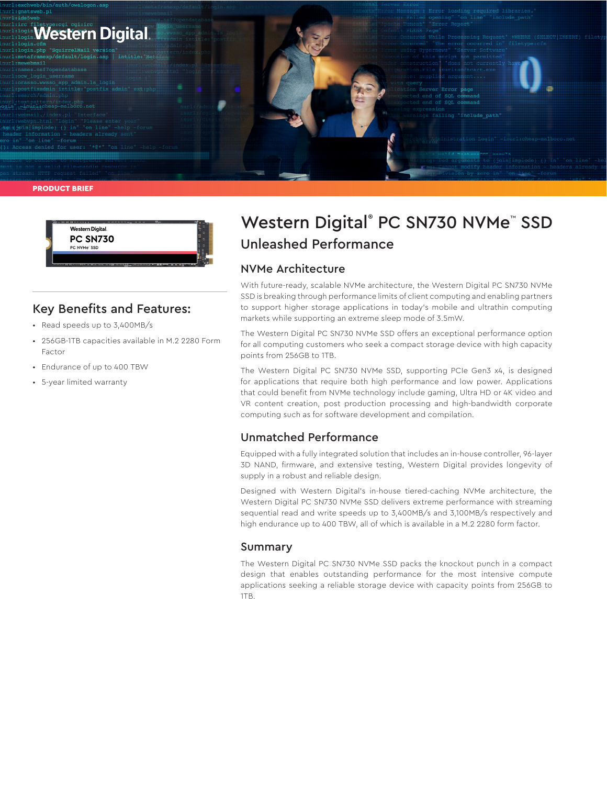

Western Digital. **PC SN730** 

### Key Benefits and Features:

• Read speeds up to 3,400MB/s

PC NVMe" SSD

- 256GB-1TB capacities available in M.2 2280 Form Factor
- Endurance of up to 400 TBW
- 5-year limited warranty

# Western Digital® PC SN730 NVMe™ SSD Unleashed Performance

### NVMe Architecture

With future-ready, scalable NVMe architecture, the Western Digital PC SN730 NVMe SSD is breaking through performance limits of client computing and enabling partners to support higher storage applications in today's mobile and ultrathin computing markets while supporting an extreme sleep mode of 3.5mW.

The Western Digital PC SN730 NVMe SSD offers an exceptional performance option for all computing customers who seek a compact storage device with high capacity points from 256GB to 1TB.

The Western Digital PC SN730 NVMe SSD, supporting PCIe Gen3 x4, is designed for applications that require both high performance and low power. Applications that could benefit from NVMe technology include gaming, Ultra HD or 4K video and VR content creation, post production processing and high-bandwidth corporate computing such as for software development and compilation.

# Unmatched Performance

Equipped with a fully integrated solution that includes an in-house controller, 96-layer 3D NAND, firmware, and extensive testing, Western Digital provides longevity of supply in a robust and reliable design.

Designed with Western Digital's in-house tiered-caching NVMe architecture, the Western Digital PC SN730 NVMe SSD delivers extreme performance with streaming sequential read and write speeds up to 3,400MB/s and 3,100MB/s respectively and high endurance up to 400 TBW, all of which is available in a M.2 2280 form factor.

#### Summary

The Western Digital PC SN730 NVMe SSD packs the knockout punch in a compact design that enables outstanding performance for the most intensive compute applications seeking a reliable storage device with capacity points from 256GB to 1TB.